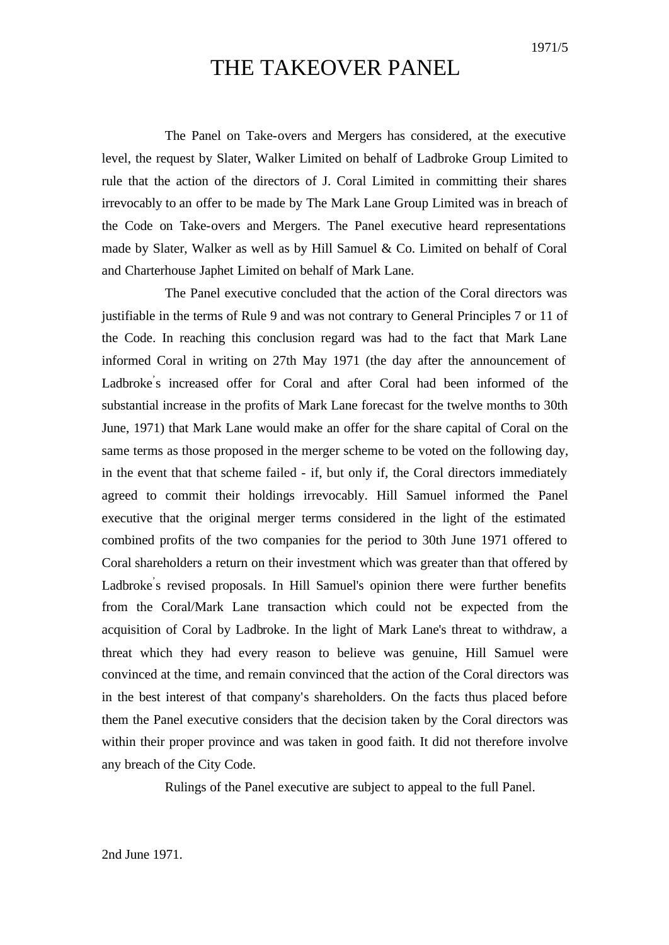1971/5

# THE TAKEOVER PANEL

The Panel on Take-overs and Mergers has considered, at the executive level, the request by Slater, Walker Limited on behalf of Ladbroke Group Limited to rule that the action of the directors of J. Coral Limited in committing their shares irrevocably to an offer to be made by The Mark Lane Group Limited was in breach of the Code on Take-overs and Mergers. The Panel executive heard representations made by Slater, Walker as well as by Hill Samuel & Co. Limited on behalf of Coral and Charterhouse Japhet Limited on behalf of Mark Lane.

The Panel executive concluded that the action of the Coral directors was justifiable in the terms of Rule 9 and was not contrary to General Principles 7 or 11 of the Code. In reaching this conclusion regard was had to the fact that Mark Lane informed Coral in writing on 27th May 1971 (the day after the announcement of Ladbroke's increased offer for Coral and after Coral had been informed of the substantial increase in the profits of Mark Lane forecast for the twelve months to 30th June, 1971) that Mark Lane would make an offer for the share capital of Coral on the same terms as those proposed in the merger scheme to be voted on the following day, in the event that that scheme failed - if, but only if, the Coral directors immediately agreed to commit their holdings irrevocably. Hill Samuel informed the Panel executive that the original merger terms considered in the light of the estimated combined profits of the two companies for the period to 30th June 1971 offered to Coral shareholders a return on their investment which was greater than that offered by Ladbroke's revised proposals. In Hill Samuel's opinion there were further benefits from the Coral/Mark Lane transaction which could not be expected from the acquisition of Coral by Ladbroke. In the light of Mark Lane's threat to withdraw, a threat which they had every reason to believe was genuine, Hill Samuel were convinced at the time, and remain convinced that the action of the Coral directors was in the best interest of that company's shareholders. On the facts thus placed before them the Panel executive considers that the decision taken by the Coral directors was within their proper province and was taken in good faith. It did not therefore involve any breach of the City Code.

Rulings of the Panel executive are subject to appeal to the full Panel.